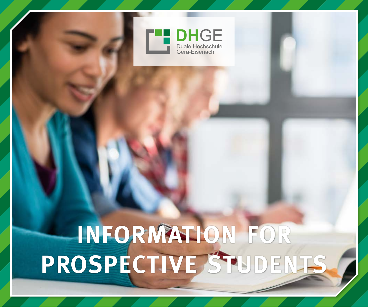

# **INFORMATION FOR PROSPECTIVE STUDENTS**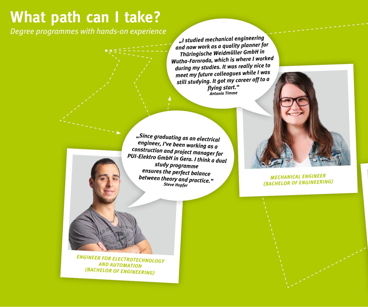### **What path can I take?**

*Degree programmes with hands-on experience*

*"I studied mechanical engineering and now work as a quality planner for Thüringische Weidmüller GmbH in Wutha-Farnroda, which is where I worked during my studies. It was really nice to meet my future colleagues while I was still studying. It got my career off to a flying start." Antonia Timme*

*"Since graduating as an electrical engineer, I've been working as a construction and project manager for PUI-Elektro GmbH in Gera. I think a dual study programme ensures the perfect balance between theory and practice." Steve Hupfer*



*MECHANICAL ENGINEER (BACHELOR OF ENGINEERING)*

*ENGINEER FOR ELECTROTECHNOLOGY AND AUTOMATION (BACHELOR OF ENGINEERING)*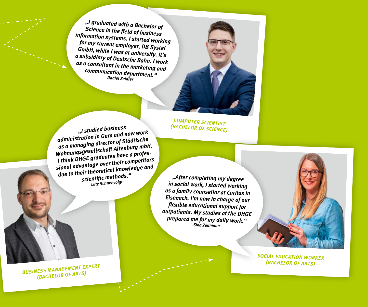*"I graduated with a Bachelor of Science in the field of business information systems. I started working for my current employer, DB Systel GmbH, while I was at university. It's a subsidiary of Deutsche Bahn. I work as a consultant in the marketing and communication department." Daniel Zeidler*



*COMPUTER SCIENTIST (BACHELOR OF SCIENCE)*

*"I studied business administration in Gera and now work as a managing director of Städtische Wohnungsgesellschaft Altenburg mbH. I think DHGE graduates have a professional advantage over their competitors due to their theoretical knowledge an<sup>d</sup> scientific methods." Lutz Schneevoigt*

*"After completing my degree in social work, I started working as a family counsellor at Caritas in Eisenach. I'm now in charge of our flexible educational support for outpatients. My studies at the DHGE prepared me for my daily work." Sina Zeilmann*



*SOCIAL EDUCATION WORKER (BACHELOR OF ARTS)*

*BUSINESS MANAGEMENT EXPERT (BACHELOR OF ARTS)*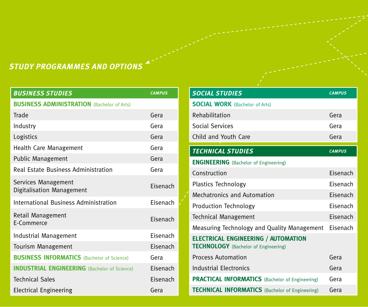### *STUDY PROGRAMMES AND OPTIONS*

| <b>BUSINESS STUDIES</b>                             | <b>CAMPUS</b> |
|-----------------------------------------------------|---------------|
| <b>BUSINESS ADMINISTRATION (Bachelor of Arts)</b>   |               |
| Trade                                               | Gera          |
| Industry                                            | Gera          |
| Logistics                                           | Gera          |
| Health Care Management                              | Gera          |
| <b>Public Management</b>                            | Gera          |
| Real Estate Business Administration                 | Gera          |
| Services Management<br>Digitalisation Management    | Eisenach      |
| International Business Administration               | Fisenach      |
| Retail Management<br>E-Commerce                     | Fisenach      |
| Industrial Management                               | Fisenach      |
| Tourism Management                                  | Fisenach      |
| <b>BUSINESS INFORMATICS</b> (Bachelor of Science)   | Gera          |
| <b>INDUSTRIAL ENGINEERING</b> (Bachelor of Science) | Eisenach      |
| <b>Technical Sales</b>                              | Fisenach      |
| <b>Electrical Engineering</b>                       | Gera          |

| <b>SOCIAL STUDIES</b>                                                                     | <b>CAMPUS</b> |
|-------------------------------------------------------------------------------------------|---------------|
| <b>SOCIAL WORK</b> (Bachelor of Arts)                                                     |               |
| Rehabilitation                                                                            | Gera          |
| Social Services                                                                           | Gera          |
| Child and Youth Care                                                                      | Gera          |
|                                                                                           |               |
| <b>TECHNICAL STUDIES</b>                                                                  | <b>CAMPUS</b> |
| <b>ENGINEERING</b> (Bachelor of Engineering)                                              |               |
| Construction                                                                              | Fisenach      |
| Plastics Technology                                                                       | Fisenach      |
| Mechatronics and Automation                                                               | Fisenach      |
| Production Technology                                                                     | Fisenach      |
| Technical Management                                                                      | Eisenach      |
| Measuring Technology and Quality Management                                               | Fisenach      |
| <b>ELECTRICAL ENGINEERING / AUTOMATION</b><br><b>TECHNOLOGY</b> (Bachelor of Engineering) |               |
| <b>Process Automation</b>                                                                 | Gera          |
| Industrial Electronics                                                                    | Gera          |
| <b>PRACTICAL INFORMATICS</b> (Bachelor of Engineering)                                    | Gera          |
| <b>TECHNICAL INFORMATICS</b> (Bachelor of Engineering)                                    | Gera          |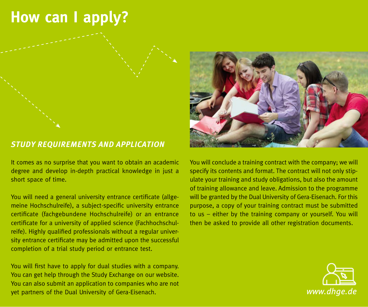### **How can I apply?**

#### *STUDY REQUIREMENTS AND APPLICATION*

It comes as no surprise that you want to obtain an academic degree and develop in-depth practical knowledge in just a short space of time.

You will need a general university entrance certificate (allgemeine Hochschulreife), a subject-specific university entrance certificate (fachgebundene Hochschulreife) or an entrance certificate for a university of applied science (Fachhochschulreife). Highly qualified professionals without a regular university entrance certificate may be admitted upon the successful completion of a trial study period or entrance test.

You will first have to apply for dual studies with a company. You can get help through the Study Exchange on our website. You can also submit an application to companies who are not yet partners of the Dual University of Gera-Eisenach.



You will conclude a training contract with the company; we will specify its contents and format. The contract will not only stipulate your training and study obligations, but also the amount of training allowance and leave. Admission to the programme will be granted by the Dual University of Gera-Eisenach. For this purpose, a copy of your training contract must be submitted to us – either by the training company or yourself. You will then be asked to provide all other registration documents.

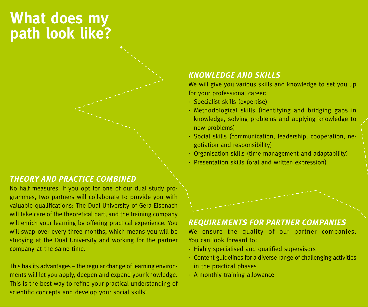### **What does my path look like?**

#### *THEORY AND PRACTICE COMBINED*

No half measures. If you opt for one of our dual study programmes, two partners will collaborate to provide you with valuable qualifications: The Dual University of Gera-Eisenach will take care of the theoretical part, and the training company will enrich your learning by offering practical experience. You will swap over every three months, which means you will be studying at the Dual University and working for the partner company at the same time.

This has its advantages – the regular change of learning environments will let you apply, deepen and expand your knowledge. This is the best way to refine your practical understanding of scientific concepts and develop your social skills!

#### *KNOWLEDGE AND SKILLS*

We will give you various skills and knowledge to set you up for your professional career:

- · Specialist skills (expertise)
- · Methodological skills (identifying and bridging gaps in knowledge, solving problems and applying knowledge to new problems)
- · Social skills (communication, leadership, cooperation, negotiation and responsibility)
- · Organisation skills (time management and adaptability)
- · Presentation skills (oral and written expression)

#### *REQUIREMENTS FOR PARTNER COMPANIES*

We ensure the quality of our partner companies. You can look forward to:

- · Highly specialised and qualified supervisors
- · Content guidelines for a diverse range of challenging activities in the practical phases
- · A monthly training allowance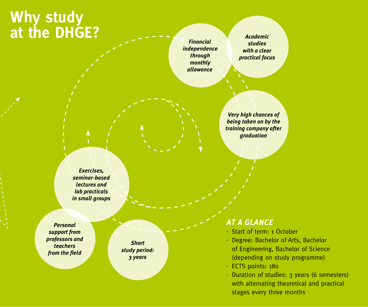### **Why study at the DHGE?**

*Financial independence through monthly allowance*

*Academic studies with a clear practical focus*

*Very high chances of being taken on by the training company after graduation*

*Exercises, seminar-based lectures and lab practicals in small groups*

*Personal support from professors and teachers from the field*

*Short study period: 3 years*

#### *AT A GLANCE*

- · Start of term: 1 October
- · Degree: Bachelor of Arts, Bachelor of Engineering, Bachelor of Science (depending on study programme)
- · ECTS points: 180
- · Duration of studies: 3 years (6 semesters) with alternating theoretical and practical stages every three months